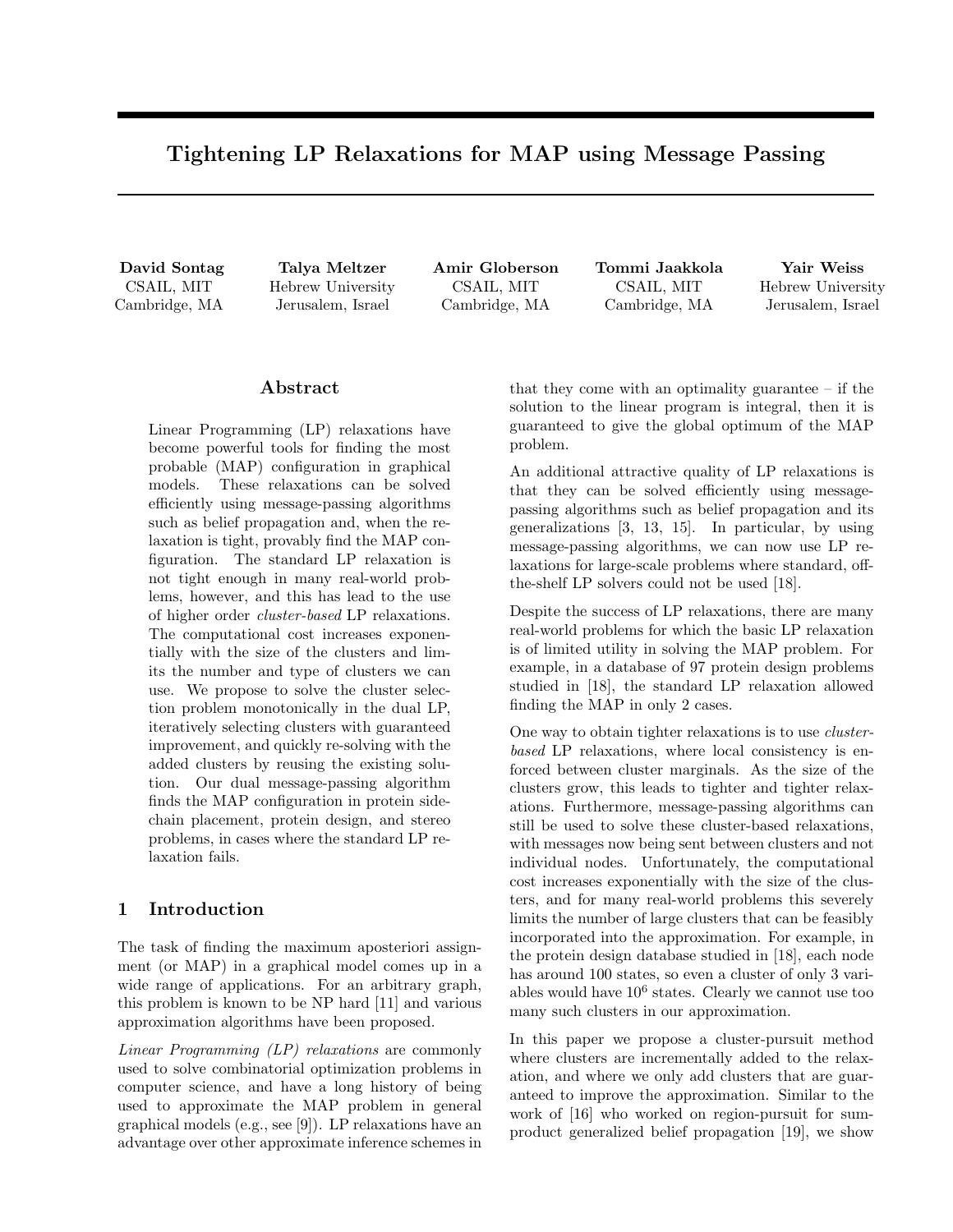# Tightening LP Relaxations for MAP using Message Passing

David Sontag CSAIL, MIT Cambridge, MA

Talya Meltzer Hebrew University Jerusalem, Israel

Amir Globerson CSAIL, MIT Cambridge, MA

Tommi Jaakkola CSAIL, MIT Cambridge, MA

Yair Weiss Hebrew University Jerusalem, Israel

# Abstract

Linear Programming (LP) relaxations have become powerful tools for finding the most probable (MAP) configuration in graphical models. These relaxations can be solved efficiently using message-passing algorithms such as belief propagation and, when the relaxation is tight, provably find the MAP configuration. The standard LP relaxation is not tight enough in many real-world problems, however, and this has lead to the use of higher order cluster-based LP relaxations. The computational cost increases exponentially with the size of the clusters and limits the number and type of clusters we can use. We propose to solve the cluster selection problem monotonically in the dual LP, iteratively selecting clusters with guaranteed improvement, and quickly re-solving with the added clusters by reusing the existing solution. Our dual message-passing algorithm finds the MAP configuration in protein sidechain placement, protein design, and stereo problems, in cases where the standard LP relaxation fails.

### 1 Introduction

The task of finding the maximum aposteriori assignment (or MAP) in a graphical model comes up in a wide range of applications. For an arbitrary graph, this problem is known to be NP hard [11] and various approximation algorithms have been proposed.

Linear Programming (LP) relaxations are commonly used to solve combinatorial optimization problems in computer science, and have a long history of being used to approximate the MAP problem in general graphical models (e.g., see [9]). LP relaxations have an advantage over other approximate inference schemes in that they come with an optimality guarantee – if the solution to the linear program is integral, then it is guaranteed to give the global optimum of the MAP problem.

An additional attractive quality of LP relaxations is that they can be solved efficiently using messagepassing algorithms such as belief propagation and its generalizations [3, 13, 15]. In particular, by using message-passing algorithms, we can now use LP relaxations for large-scale problems where standard, offthe-shelf LP solvers could not be used [18].

Despite the success of LP relaxations, there are many real-world problems for which the basic LP relaxation is of limited utility in solving the MAP problem. For example, in a database of 97 protein design problems studied in [18], the standard LP relaxation allowed finding the MAP in only 2 cases.

One way to obtain tighter relaxations is to use clusterbased LP relaxations, where local consistency is enforced between cluster marginals. As the size of the clusters grow, this leads to tighter and tighter relaxations. Furthermore, message-passing algorithms can still be used to solve these cluster-based relaxations, with messages now being sent between clusters and not individual nodes. Unfortunately, the computational cost increases exponentially with the size of the clusters, and for many real-world problems this severely limits the number of large clusters that can be feasibly incorporated into the approximation. For example, in the protein design database studied in [18], each node has around 100 states, so even a cluster of only 3 variables would have  $10^6$  states. Clearly we cannot use too many such clusters in our approximation.

In this paper we propose a cluster-pursuit method where clusters are incrementally added to the relaxation, and where we only add clusters that are guaranteed to improve the approximation. Similar to the work of [16] who worked on region-pursuit for sumproduct generalized belief propagation [19], we show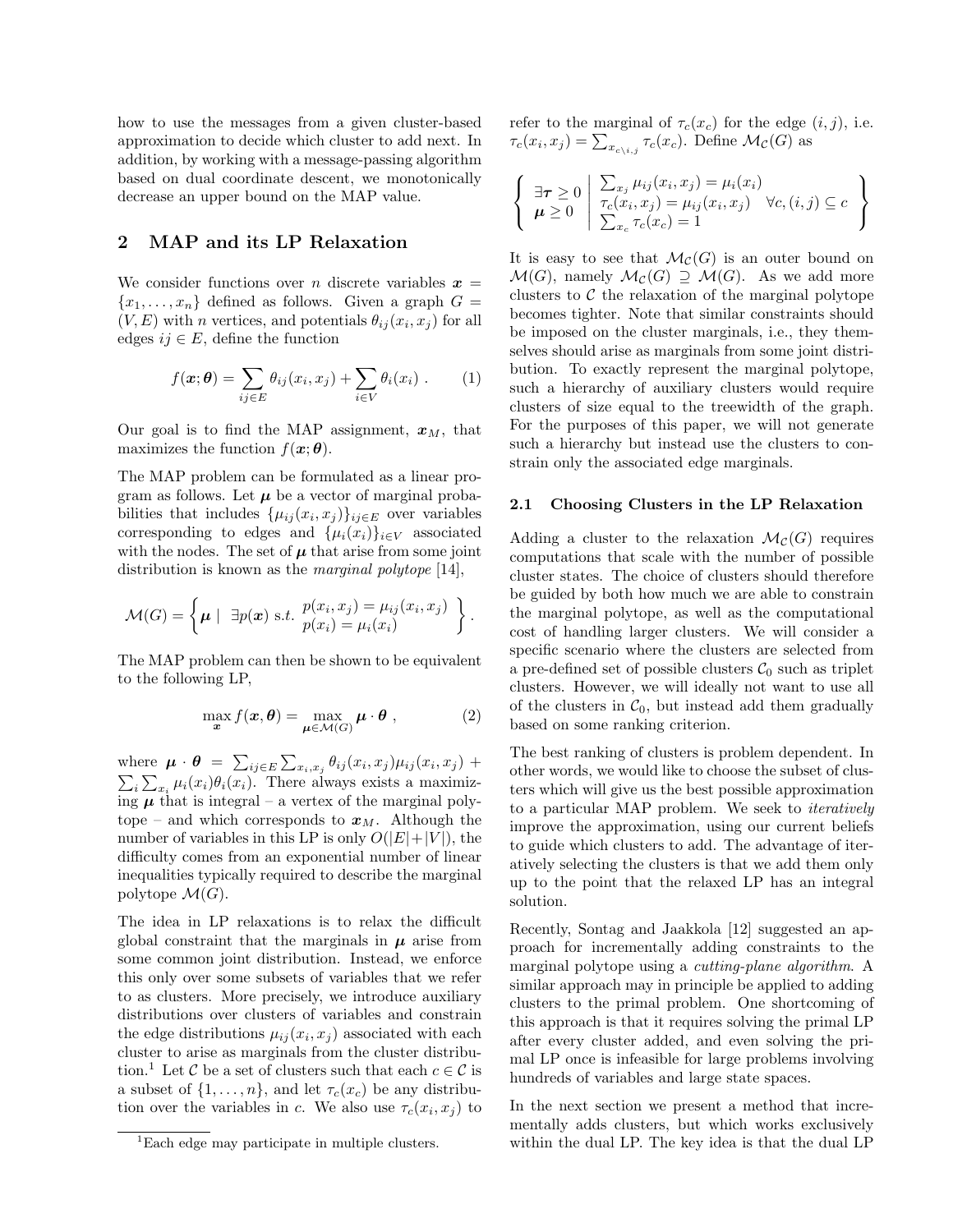how to use the messages from a given cluster-based approximation to decide which cluster to add next. In addition, by working with a message-passing algorithm based on dual coordinate descent, we monotonically decrease an upper bound on the MAP value.

### 2 MAP and its LP Relaxation

We consider functions over *n* discrete variables  $x =$  ${x_1, \ldots, x_n}$  defined as follows. Given a graph  $G =$  $(V, E)$  with n vertices, and potentials  $\theta_{ij}(x_i, x_j)$  for all edges  $ij \in E$ , define the function

$$
f(\boldsymbol{x};\boldsymbol{\theta}) = \sum_{ij \in E} \theta_{ij}(x_i, x_j) + \sum_{i \in V} \theta_i(x_i) . \qquad (1)
$$

Our goal is to find the MAP assignment,  $x_M$ , that maximizes the function  $f(\mathbf{x}; \theta)$ .

The MAP problem can be formulated as a linear program as follows. Let  $\mu$  be a vector of marginal probabilities that includes  $\{\mu_{ij}(x_i, x_j)\}_{ij \in E}$  over variables corresponding to edges and  $\{\mu_i(x_i)\}_{i\in V}$  associated with the nodes. The set of  $\mu$  that arise from some joint distribution is known as the *marginal polytope* [14],

$$
\mathcal{M}(G) = \left\{ \boldsymbol{\mu} \mid \exists p(\boldsymbol{x}) \text{ s.t. } \begin{aligned} p(x_i, x_j) &= \mu_{ij}(x_i, x_j) \\ p(x_i) &= \mu_i(x_i) \end{aligned} \right\}.
$$

The MAP problem can then be shown to be equivalent to the following LP,

$$
\max_{\boldsymbol{x}} f(\boldsymbol{x}, \boldsymbol{\theta}) = \max_{\boldsymbol{\mu} \in \mathcal{M}(G)} \boldsymbol{\mu} \cdot \boldsymbol{\theta} \;, \tag{2}
$$

where  $\mu \cdot \theta = \sum_{ij \in E} \sum_{x_i, x_j} \theta_{ij}(x_i, x_j) \mu_{ij}(x_i, x_j) +$  $\sum_i \sum_{x_i} \mu_i(x_i) \theta_i(x_i)$ . There always exists a maximizing  $\mu$  that is integral – a vertex of the marginal polytope – and which corresponds to  $x_M$ . Although the number of variables in this LP is only  $O(|E|+|V|)$ , the difficulty comes from an exponential number of linear inequalities typically required to describe the marginal polytope  $\mathcal{M}(G)$ .

The idea in LP relaxations is to relax the difficult global constraint that the marginals in  $\mu$  arise from some common joint distribution. Instead, we enforce this only over some subsets of variables that we refer to as clusters. More precisely, we introduce auxiliary distributions over clusters of variables and constrain the edge distributions  $\mu_{ij}(x_i, x_j)$  associated with each cluster to arise as marginals from the cluster distribution.<sup>1</sup> Let C be a set of clusters such that each  $c \in \mathcal{C}$  is a subset of  $\{1, \ldots, n\}$ , and let  $\tau_c(x_c)$  be any distribution over the variables in c. We also use  $\tau_c(x_i, x_j)$  to

refer to the marginal of  $\tau_c(x_c)$  for the edge  $(i, j)$ , i.e.  $\tau_c(x_i, x_j) = \sum_{x_{c\setminus i,j}} \tau_c(x_c)$ . Define  $\mathcal{M}_{\mathcal{C}}(G)$  as

$$
\left\{\n\begin{array}{l}\n\exists \tau \geq 0 \\
\boldsymbol{\mu} \geq 0\n\end{array}\n\middle|\n\begin{array}{l}\n\sum_{x_j} \mu_{ij}(x_i, x_j) = \mu_i(x_i) \\
\tau_c(x_i, x_j) = \mu_{ij}(x_i, x_j) \quad \forall c, (i, j) \subseteq c \\
\sum_{x_c} \tau_c(x_c) = 1\n\end{array}\n\right\}
$$

It is easy to see that  $\mathcal{M}_{\mathcal{C}}(G)$  is an outer bound on  $\mathcal{M}(G)$ , namely  $\mathcal{M}_{\mathcal{C}}(G) \supseteq \mathcal{M}(G)$ . As we add more clusters to  $\mathcal C$  the relaxation of the marginal polytope becomes tighter. Note that similar constraints should be imposed on the cluster marginals, i.e., they themselves should arise as marginals from some joint distribution. To exactly represent the marginal polytope, such a hierarchy of auxiliary clusters would require clusters of size equal to the treewidth of the graph. For the purposes of this paper, we will not generate such a hierarchy but instead use the clusters to constrain only the associated edge marginals.

#### 2.1 Choosing Clusters in the LP Relaxation

Adding a cluster to the relaxation  $\mathcal{M}_{\mathcal{C}}(G)$  requires computations that scale with the number of possible cluster states. The choice of clusters should therefore be guided by both how much we are able to constrain the marginal polytope, as well as the computational cost of handling larger clusters. We will consider a specific scenario where the clusters are selected from a pre-defined set of possible clusters  $\mathcal{C}_0$  such as triplet clusters. However, we will ideally not want to use all of the clusters in  $C_0$ , but instead add them gradually based on some ranking criterion.

The best ranking of clusters is problem dependent. In other words, we would like to choose the subset of clusters which will give us the best possible approximation to a particular MAP problem. We seek to iteratively improve the approximation, using our current beliefs to guide which clusters to add. The advantage of iteratively selecting the clusters is that we add them only up to the point that the relaxed LP has an integral solution.

Recently, Sontag and Jaakkola [12] suggested an approach for incrementally adding constraints to the marginal polytope using a cutting-plane algorithm. A similar approach may in principle be applied to adding clusters to the primal problem. One shortcoming of this approach is that it requires solving the primal LP after every cluster added, and even solving the primal LP once is infeasible for large problems involving hundreds of variables and large state spaces.

In the next section we present a method that incrementally adds clusters, but which works exclusively within the dual LP. The key idea is that the dual LP

<sup>1</sup>Each edge may participate in multiple clusters.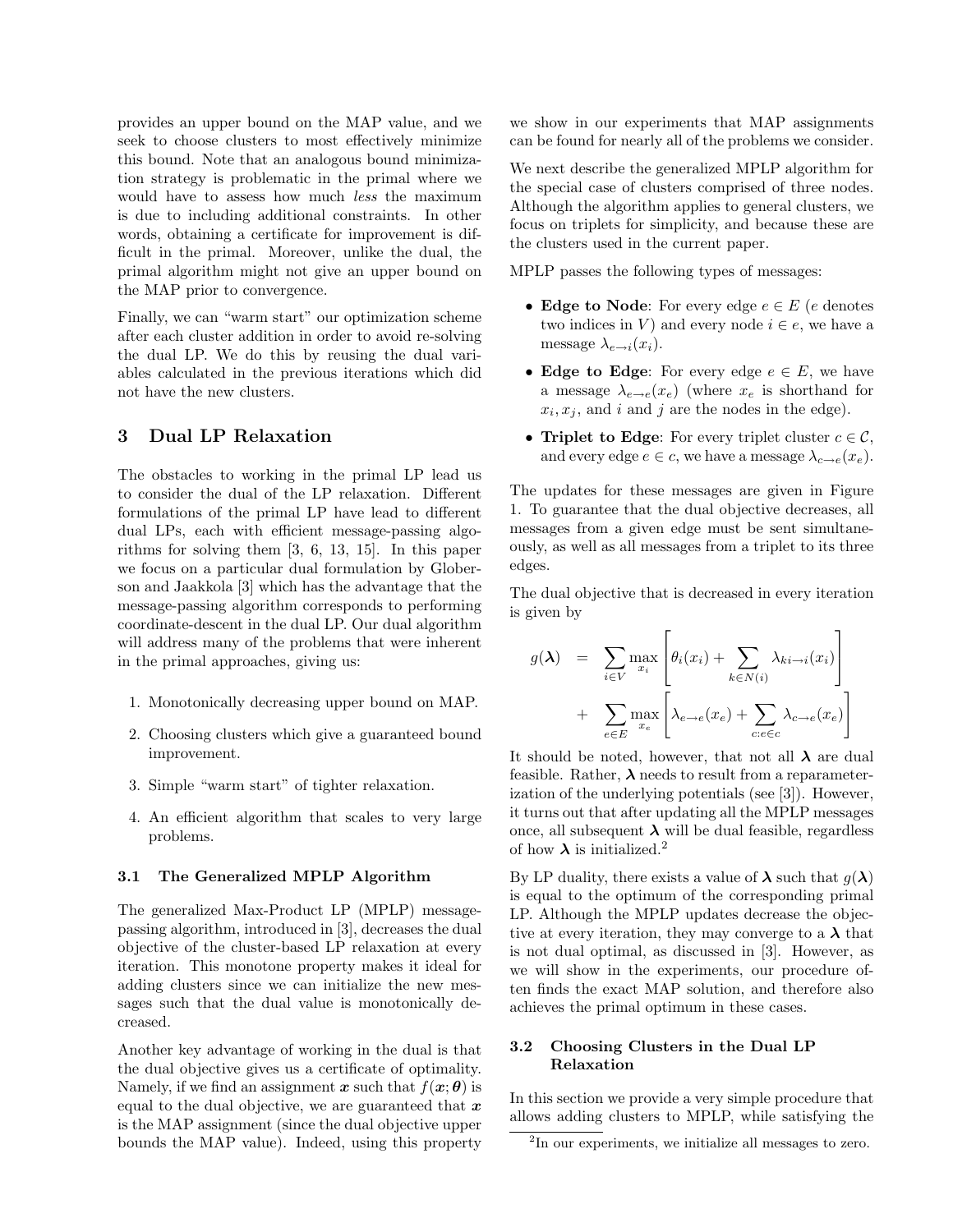provides an upper bound on the MAP value, and we seek to choose clusters to most effectively minimize this bound. Note that an analogous bound minimization strategy is problematic in the primal where we would have to assess how much less the maximum is due to including additional constraints. In other words, obtaining a certificate for improvement is difficult in the primal. Moreover, unlike the dual, the primal algorithm might not give an upper bound on the MAP prior to convergence.

Finally, we can "warm start" our optimization scheme after each cluster addition in order to avoid re-solving the dual LP. We do this by reusing the dual variables calculated in the previous iterations which did not have the new clusters.

# 3 Dual LP Relaxation

The obstacles to working in the primal LP lead us to consider the dual of the LP relaxation. Different formulations of the primal LP have lead to different dual LPs, each with efficient message-passing algorithms for solving them [3, 6, 13, 15]. In this paper we focus on a particular dual formulation by Globerson and Jaakkola [3] which has the advantage that the message-passing algorithm corresponds to performing coordinate-descent in the dual LP. Our dual algorithm will address many of the problems that were inherent in the primal approaches, giving us:

- 1. Monotonically decreasing upper bound on MAP.
- 2. Choosing clusters which give a guaranteed bound improvement.
- 3. Simple "warm start" of tighter relaxation.
- 4. An efficient algorithm that scales to very large problems.

#### 3.1 The Generalized MPLP Algorithm

The generalized Max-Product LP (MPLP) messagepassing algorithm, introduced in [3], decreases the dual objective of the cluster-based LP relaxation at every iteration. This monotone property makes it ideal for adding clusters since we can initialize the new messages such that the dual value is monotonically decreased.

Another key advantage of working in the dual is that the dual objective gives us a certificate of optimality. Namely, if we find an assignment x such that  $f(x; \theta)$  is equal to the dual objective, we are guaranteed that  $x$ is the MAP assignment (since the dual objective upper bounds the MAP value). Indeed, using this property

we show in our experiments that MAP assignments can be found for nearly all of the problems we consider.

We next describe the generalized MPLP algorithm for the special case of clusters comprised of three nodes. Although the algorithm applies to general clusters, we focus on triplets for simplicity, and because these are the clusters used in the current paper.

MPLP passes the following types of messages:

- Edge to Node: For every edge  $e \in E$  (e denotes two indices in V) and every node  $i \in e$ , we have a message  $\lambda_{e\rightarrow i}(x_i)$ .
- Edge to Edge: For every edge  $e \in E$ , we have a message  $\lambda_{e\rightarrow e}(x_e)$  (where  $x_e$  is shorthand for  $x_i, x_j$ , and i and j are the nodes in the edge).
- Triplet to Edge: For every triplet cluster  $c \in \mathcal{C}$ , and every edge  $e \in c$ , we have a message  $\lambda_{c\rightarrow e}(x_e)$ .

The updates for these messages are given in Figure 1. To guarantee that the dual objective decreases, all messages from a given edge must be sent simultaneously, as well as all messages from a triplet to its three edges.

The dual objective that is decreased in every iteration is given by

$$
g(\lambda) = \sum_{i \in V} \max_{x_i} \left[ \theta_i(x_i) + \sum_{k \in N(i)} \lambda_{ki \to i}(x_i) \right] + \sum_{e \in E} \max_{x_e} \left[ \lambda_{e \to e}(x_e) + \sum_{c: e \in c} \lambda_{c \to e}(x_e) \right]
$$

It should be noted, however, that not all  $\lambda$  are dual feasible. Rather,  $\lambda$  needs to result from a reparameterization of the underlying potentials (see [3]). However, it turns out that after updating all the MPLP messages once, all subsequent  $\lambda$  will be dual feasible, regardless of how  $\lambda$  is initialized.<sup>2</sup>

By LP duality, there exists a value of  $\lambda$  such that  $q(\lambda)$ is equal to the optimum of the corresponding primal LP. Although the MPLP updates decrease the objective at every iteration, they may converge to a  $\lambda$  that is not dual optimal, as discussed in [3]. However, as we will show in the experiments, our procedure often finds the exact MAP solution, and therefore also achieves the primal optimum in these cases.

### 3.2 Choosing Clusters in the Dual LP Relaxation

In this section we provide a very simple procedure that allows adding clusters to MPLP, while satisfying the

<sup>2</sup> In our experiments, we initialize all messages to zero.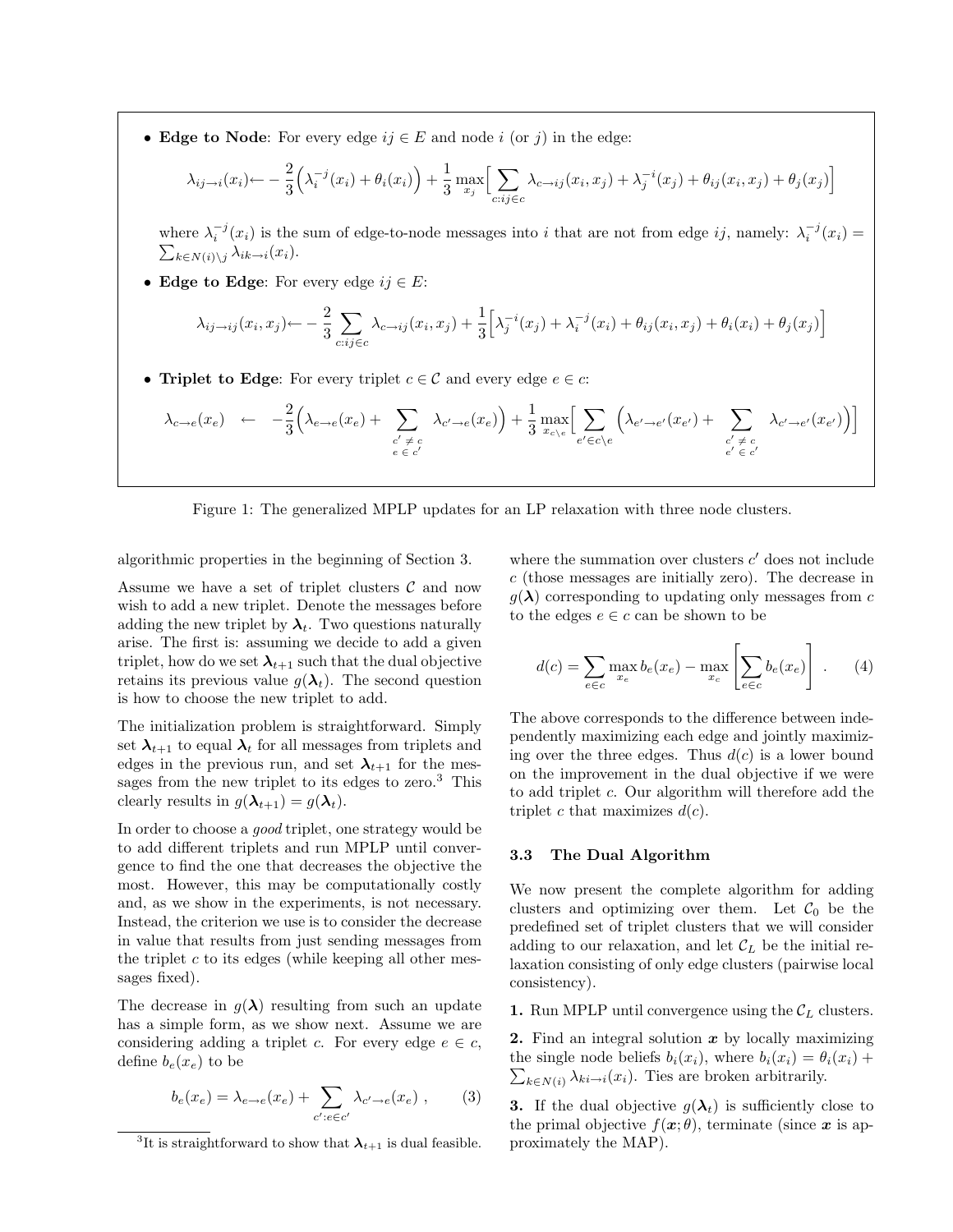• Edge to Node: For every edge  $ij \in E$  and node i (or j) in the edge:

$$
\lambda_{ij \to i}(x_i) \leftarrow -\frac{2}{3} \left( \lambda_i^{-j}(x_i) + \theta_i(x_i) \right) + \frac{1}{3} \max_{x_j} \Big[ \sum_{c:ij \in c} \lambda_{c \to ij}(x_i, x_j) + \lambda_j^{-i}(x_j) + \theta_{ij}(x_i, x_j) + \theta_j(x_j) \Big]
$$

where  $\lambda_i^{-j}(x_i)$  is the sum of edge-to-node messages into i that are not from edge ij, namely:  $\lambda_i^{-j}(x_i)$  =  $\sum_{k \in N(i) \setminus j} \lambda_{ik \to i}(x_i).$ 

• Edge to Edge: For every edge  $ij \in E$ :

$$
\lambda_{ij \to ij}(x_i, x_j) \leftarrow -\frac{2}{3} \sum_{c:ij \in c} \lambda_{c \to ij}(x_i, x_j) + \frac{1}{3} \Big[ \lambda_j^{-i}(x_j) + \lambda_i^{-j}(x_i) + \theta_{ij}(x_i, x_j) + \theta_i(x_i) + \theta_j(x_j) \Big]
$$

• Triplet to Edge: For every triplet  $c \in \mathcal{C}$  and every edge  $e \in \mathcal{C}$ :

$$
\lambda_{c \to e}(x_e) \leftarrow -\frac{2}{3} \Big( \lambda_{e \to e}(x_e) + \sum_{\substack{c' \neq c \\ e \in c'}} \lambda_{c' \to e}(x_e) \Big) + \frac{1}{3} \max_{x_{c \setminus e}} \Big[ \sum_{e' \in c \setminus e} \Big( \lambda_{e' \to e'}(x_{e'}) + \sum_{\substack{c' \neq c \\ e' \in c'}} \lambda_{c' \to e'}(x_{e'}) \Big) \Big]
$$

Figure 1: The generalized MPLP updates for an LP relaxation with three node clusters.

algorithmic properties in the beginning of Section 3.

Assume we have a set of triplet clusters  $\mathcal C$  and now wish to add a new triplet. Denote the messages before adding the new triplet by  $\lambda_t$ . Two questions naturally arise. The first is: assuming we decide to add a given triplet, how do we set  $\lambda_{t+1}$  such that the dual objective retains its previous value  $q(\lambda_t)$ . The second question is how to choose the new triplet to add.

The initialization problem is straightforward. Simply set  $\lambda_{t+1}$  to equal  $\lambda_t$  for all messages from triplets and edges in the previous run, and set  $\lambda_{t+1}$  for the messages from the new triplet to its edges to zero.<sup>3</sup> This clearly results in  $g(\lambda_{t+1}) = g(\lambda_t)$ .

In order to choose a good triplet, one strategy would be to add different triplets and run MPLP until convergence to find the one that decreases the objective the most. However, this may be computationally costly and, as we show in the experiments, is not necessary. Instead, the criterion we use is to consider the decrease in value that results from just sending messages from the triplet  $c$  to its edges (while keeping all other messages fixed).

The decrease in  $q(\lambda)$  resulting from such an update has a simple form, as we show next. Assume we are considering adding a triplet c. For every edge  $e \in c$ , define  $b_e(x_e)$  to be

$$
b_e(x_e) = \lambda_{e \to e}(x_e) + \sum_{c': e \in c'} \lambda_{c' \to e}(x_e) ,\qquad (3)
$$

where the summation over clusters  $c'$  does not include c (those messages are initially zero). The decrease in  $g(\lambda)$  corresponding to updating only messages from c to the edges  $e \in c$  can be shown to be

$$
d(c) = \sum_{e \in c} \max_{x_e} b_e(x_e) - \max_{x_c} \left[ \sum_{e \in c} b_e(x_e) \right] . \tag{4}
$$

The above corresponds to the difference between independently maximizing each edge and jointly maximizing over the three edges. Thus  $d(c)$  is a lower bound on the improvement in the dual objective if we were to add triplet c. Our algorithm will therefore add the triplet c that maximizes  $d(c)$ .

#### 3.3 The Dual Algorithm

We now present the complete algorithm for adding clusters and optimizing over them. Let  $C_0$  be the predefined set of triplet clusters that we will consider adding to our relaxation, and let  $\mathcal{C}_L$  be the initial relaxation consisting of only edge clusters (pairwise local consistency).

1. Run MPLP until convergence using the  $\mathcal{C}_L$  clusters.

**2.** Find an integral solution  $x$  by locally maximizing  $\sum_{k \in N(i)} \lambda_{ki \to i}(x_i)$ . Ties are broken arbitrarily. the single node beliefs  $b_i(x_i)$ , where  $b_i(x_i) = \theta_i(x_i) +$ 

**3.** If the dual objective  $g(\lambda_t)$  is sufficiently close to the primal objective  $f(x; \theta)$ , terminate (since x is approximately the MAP).

<sup>&</sup>lt;sup>3</sup>It is straightforward to show that  $\lambda_{t+1}$  is dual feasible.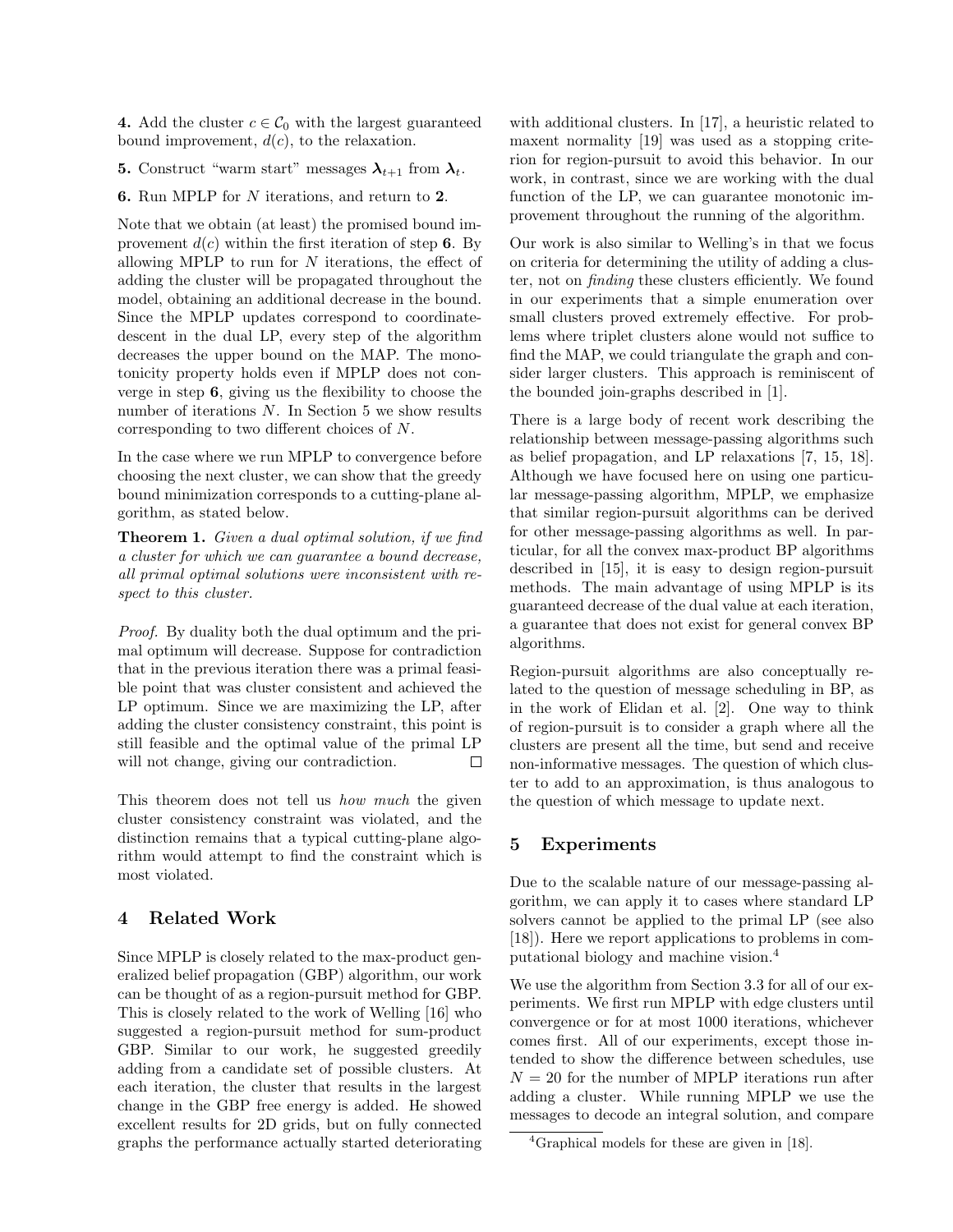4. Add the cluster  $c \in \mathcal{C}_0$  with the largest guaranteed bound improvement,  $d(c)$ , to the relaxation.

**5.** Construct "warm start" messages  $\lambda_{t+1}$  from  $\lambda_t$ .

6. Run MPLP for N iterations, and return to 2.

Note that we obtain (at least) the promised bound improvement  $d(c)$  within the first iteration of step 6. By allowing MPLP to run for  $N$  iterations, the effect of adding the cluster will be propagated throughout the model, obtaining an additional decrease in the bound. Since the MPLP updates correspond to coordinatedescent in the dual LP, every step of the algorithm decreases the upper bound on the MAP. The monotonicity property holds even if MPLP does not converge in step 6, giving us the flexibility to choose the number of iterations  $N$ . In Section 5 we show results corresponding to two different choices of N.

In the case where we run MPLP to convergence before choosing the next cluster, we can show that the greedy bound minimization corresponds to a cutting-plane algorithm, as stated below.

Theorem 1. Given a dual optimal solution, if we find a cluster for which we can guarantee a bound decrease, all primal optimal solutions were inconsistent with respect to this cluster.

Proof. By duality both the dual optimum and the primal optimum will decrease. Suppose for contradiction that in the previous iteration there was a primal feasible point that was cluster consistent and achieved the LP optimum. Since we are maximizing the LP, after adding the cluster consistency constraint, this point is still feasible and the optimal value of the primal LP will not change, giving our contradiction. П

This theorem does not tell us *how much* the given cluster consistency constraint was violated, and the distinction remains that a typical cutting-plane algorithm would attempt to find the constraint which is most violated.

# 4 Related Work

Since MPLP is closely related to the max-product generalized belief propagation (GBP) algorithm, our work can be thought of as a region-pursuit method for GBP. This is closely related to the work of Welling [16] who suggested a region-pursuit method for sum-product GBP. Similar to our work, he suggested greedily adding from a candidate set of possible clusters. At each iteration, the cluster that results in the largest change in the GBP free energy is added. He showed excellent results for 2D grids, but on fully connected graphs the performance actually started deteriorating with additional clusters. In [17], a heuristic related to maxent normality [19] was used as a stopping criterion for region-pursuit to avoid this behavior. In our work, in contrast, since we are working with the dual function of the LP, we can guarantee monotonic improvement throughout the running of the algorithm.

Our work is also similar to Welling's in that we focus on criteria for determining the utility of adding a cluster, not on finding these clusters efficiently. We found in our experiments that a simple enumeration over small clusters proved extremely effective. For problems where triplet clusters alone would not suffice to find the MAP, we could triangulate the graph and consider larger clusters. This approach is reminiscent of the bounded join-graphs described in [1].

There is a large body of recent work describing the relationship between message-passing algorithms such as belief propagation, and LP relaxations [7, 15, 18]. Although we have focused here on using one particular message-passing algorithm, MPLP, we emphasize that similar region-pursuit algorithms can be derived for other message-passing algorithms as well. In particular, for all the convex max-product BP algorithms described in [15], it is easy to design region-pursuit methods. The main advantage of using MPLP is its guaranteed decrease of the dual value at each iteration, a guarantee that does not exist for general convex BP algorithms.

Region-pursuit algorithms are also conceptually related to the question of message scheduling in BP, as in the work of Elidan et al. [2]. One way to think of region-pursuit is to consider a graph where all the clusters are present all the time, but send and receive non-informative messages. The question of which cluster to add to an approximation, is thus analogous to the question of which message to update next.

### 5 Experiments

Due to the scalable nature of our message-passing algorithm, we can apply it to cases where standard LP solvers cannot be applied to the primal LP (see also [18]). Here we report applications to problems in computational biology and machine vision.<sup>4</sup>

We use the algorithm from Section 3.3 for all of our experiments. We first run MPLP with edge clusters until convergence or for at most 1000 iterations, whichever comes first. All of our experiments, except those intended to show the difference between schedules, use  $N = 20$  for the number of MPLP iterations run after adding a cluster. While running MPLP we use the messages to decode an integral solution, and compare

<sup>&</sup>lt;sup>4</sup>Graphical models for these are given in [18].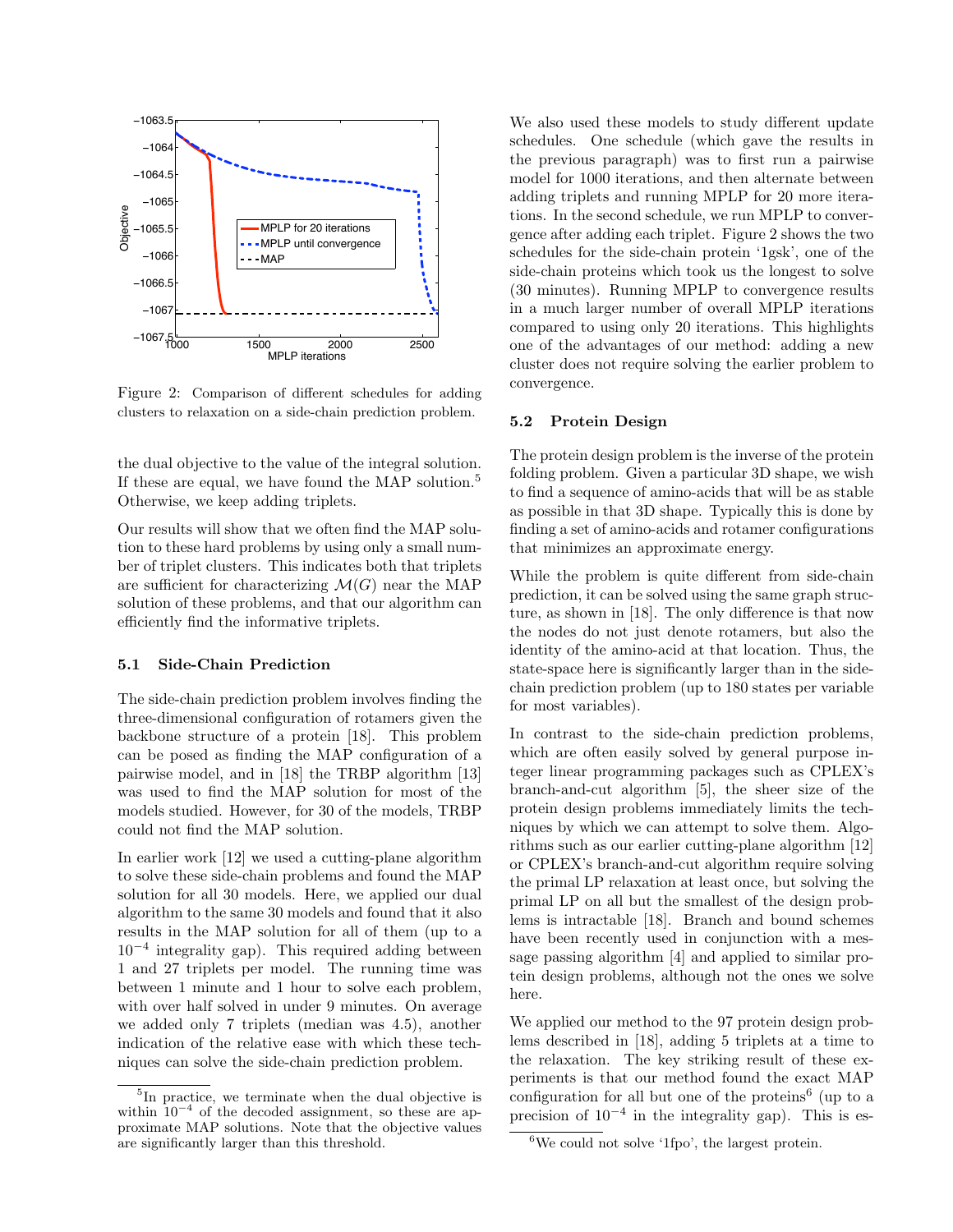

Figure 2: Comparison of different schedules for adding clusters to relaxation on a side-chain prediction problem.

the dual objective to the value of the integral solution. If these are equal, we have found the MAP solution.<sup>5</sup> Otherwise, we keep adding triplets.

Our results will show that we often find the MAP solution to these hard problems by using only a small number of triplet clusters. This indicates both that triplets are sufficient for characterizing  $\mathcal{M}(G)$  near the MAP solution of these problems, and that our algorithm can efficiently find the informative triplets.

#### 5.1 Side-Chain Prediction

The side-chain prediction problem involves finding the three-dimensional configuration of rotamers given the backbone structure of a protein [18]. This problem can be posed as finding the MAP configuration of a pairwise model, and in [18] the TRBP algorithm [13] was used to find the MAP solution for most of the models studied. However, for 30 of the models, TRBP could not find the MAP solution.

In earlier work [12] we used a cutting-plane algorithm to solve these side-chain problems and found the MAP solution for all 30 models. Here, we applied our dual algorithm to the same 30 models and found that it also results in the MAP solution for all of them (up to a 10<sup>−</sup><sup>4</sup> integrality gap). This required adding between 1 and 27 triplets per model. The running time was between 1 minute and 1 hour to solve each problem, with over half solved in under 9 minutes. On average we added only 7 triplets (median was 4.5), another indication of the relative ease with which these techniques can solve the side-chain prediction problem.

We also used these models to study different update schedules. One schedule (which gave the results in the previous paragraph) was to first run a pairwise model for 1000 iterations, and then alternate between adding triplets and running MPLP for 20 more iterations. In the second schedule, we run MPLP to convergence after adding each triplet. Figure 2 shows the two schedules for the side-chain protein '1gsk', one of the side-chain proteins which took us the longest to solve (30 minutes). Running MPLP to convergence results in a much larger number of overall MPLP iterations compared to using only 20 iterations. This highlights one of the advantages of our method: adding a new cluster does not require solving the earlier problem to convergence.

#### 5.2 Protein Design

The protein design problem is the inverse of the protein folding problem. Given a particular 3D shape, we wish to find a sequence of amino-acids that will be as stable as possible in that 3D shape. Typically this is done by finding a set of amino-acids and rotamer configurations that minimizes an approximate energy.

While the problem is quite different from side-chain prediction, it can be solved using the same graph structure, as shown in [18]. The only difference is that now the nodes do not just denote rotamers, but also the identity of the amino-acid at that location. Thus, the state-space here is significantly larger than in the sidechain prediction problem (up to 180 states per variable for most variables).

In contrast to the side-chain prediction problems, which are often easily solved by general purpose integer linear programming packages such as CPLEX's branch-and-cut algorithm [5], the sheer size of the protein design problems immediately limits the techniques by which we can attempt to solve them. Algorithms such as our earlier cutting-plane algorithm [12] or CPLEX's branch-and-cut algorithm require solving the primal LP relaxation at least once, but solving the primal LP on all but the smallest of the design problems is intractable [18]. Branch and bound schemes have been recently used in conjunction with a message passing algorithm [4] and applied to similar protein design problems, although not the ones we solve here.

We applied our method to the 97 protein design problems described in [18], adding 5 triplets at a time to the relaxation. The key striking result of these experiments is that our method found the exact MAP configuration for all but one of the proteins<sup>6</sup> (up to a precision of  $10^{-4}$  in the integrality gap). This is es-

<sup>&</sup>lt;sup>5</sup>In practice, we terminate when the dual objective is within  $10^{-4}$  of the decoded assignment, so these are approximate MAP solutions. Note that the objective values are significantly larger than this threshold.

 ${}^{6}$ We could not solve '1fpo', the largest protein.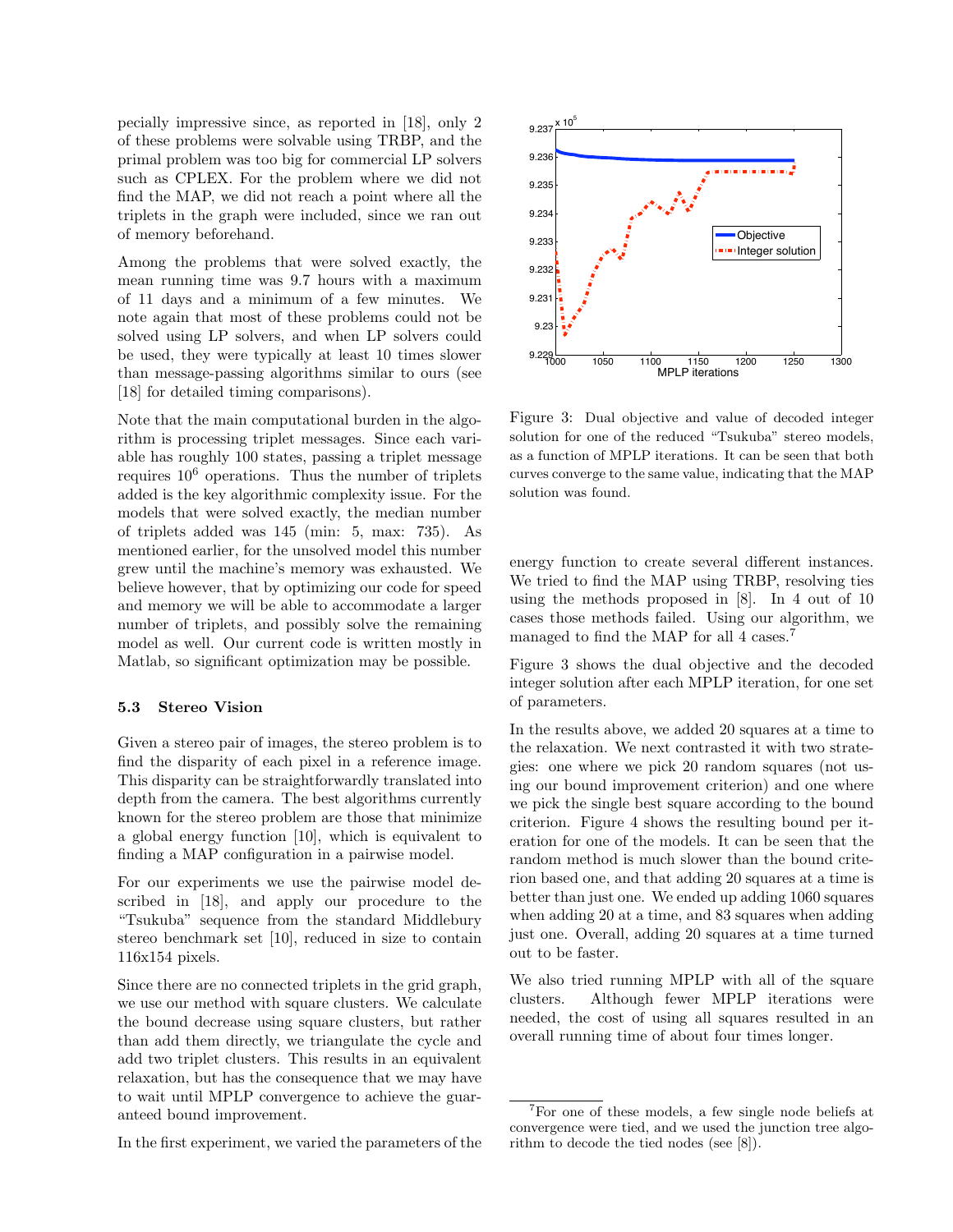pecially impressive since, as reported in [18], only 2 of these problems were solvable using TRBP, and the primal problem was too big for commercial LP solvers such as CPLEX. For the problem where we did not find the MAP, we did not reach a point where all the triplets in the graph were included, since we ran out of memory beforehand.

Among the problems that were solved exactly, the mean running time was 9.7 hours with a maximum of 11 days and a minimum of a few minutes. We note again that most of these problems could not be solved using LP solvers, and when LP solvers could be used, they were typically at least 10 times slower than message-passing algorithms similar to ours (see [18] for detailed timing comparisons).

Note that the main computational burden in the algorithm is processing triplet messages. Since each variable has roughly 100 states, passing a triplet message requires  $10^6$  operations. Thus the number of triplets added is the key algorithmic complexity issue. For the models that were solved exactly, the median number of triplets added was 145 (min: 5, max: 735). As mentioned earlier, for the unsolved model this number grew until the machine's memory was exhausted. We believe however, that by optimizing our code for speed and memory we will be able to accommodate a larger number of triplets, and possibly solve the remaining model as well. Our current code is written mostly in Matlab, so significant optimization may be possible.

#### 5.3 Stereo Vision

Given a stereo pair of images, the stereo problem is to find the disparity of each pixel in a reference image. This disparity can be straightforwardly translated into depth from the camera. The best algorithms currently known for the stereo problem are those that minimize a global energy function [10], which is equivalent to finding a MAP configuration in a pairwise model.

For our experiments we use the pairwise model described in [18], and apply our procedure to the "Tsukuba" sequence from the standard Middlebury stereo benchmark set [10], reduced in size to contain 116x154 pixels.

Since there are no connected triplets in the grid graph, we use our method with square clusters. We calculate the bound decrease using square clusters, but rather than add them directly, we triangulate the cycle and add two triplet clusters. This results in an equivalent relaxation, but has the consequence that we may have to wait until MPLP convergence to achieve the guaranteed bound improvement.

In the first experiment, we varied the parameters of the



Figure 3: Dual objective and value of decoded integer solution for one of the reduced "Tsukuba" stereo models, as a function of MPLP iterations. It can be seen that both curves converge to the same value, indicating that the MAP solution was found.

energy function to create several different instances. We tried to find the MAP using TRBP, resolving ties using the methods proposed in [8]. In 4 out of 10 cases those methods failed. Using our algorithm, we managed to find the MAP for all 4 cases.<sup>7</sup>

Figure 3 shows the dual objective and the decoded integer solution after each MPLP iteration, for one set of parameters.

In the results above, we added 20 squares at a time to the relaxation. We next contrasted it with two strategies: one where we pick 20 random squares (not using our bound improvement criterion) and one where we pick the single best square according to the bound criterion. Figure 4 shows the resulting bound per iteration for one of the models. It can be seen that the random method is much slower than the bound criterion based one, and that adding 20 squares at a time is better than just one. We ended up adding 1060 squares when adding 20 at a time, and 83 squares when adding just one. Overall, adding 20 squares at a time turned out to be faster.

We also tried running MPLP with all of the square clusters. Although fewer MPLP iterations were needed, the cost of using all squares resulted in an overall running time of about four times longer.

<sup>7</sup>For one of these models, a few single node beliefs at convergence were tied, and we used the junction tree algorithm to decode the tied nodes (see [8]).